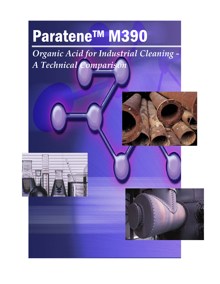# Paratene™ M390

*Organic Acid for Industrial Cleaning ‐ A Technical Comparison*





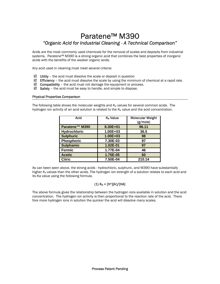# Paratene™ M390 *"Organic Acid for Industrial Cleaning - A Technical Comparison"*

Acids are the most commonly used chemicals for the removal of scales and deposits from industrial systems. Paratene™ M390 is a strong organic acid that combines the best properties of inorganic acids with the benefits of the weaker organic acids.

Any acid used in cleaning must meet several criteria:

- $\boxtimes$  Utility the acid must dissolve the scale or deposit in question
- $\boxtimes$  Efficiency the acid must dissolve the scale by using the minimum of chemical at a rapid rate.
- $\boxtimes$  Compatibility the acid must not damage the equipment or process.
- $\boxtimes$  Safety the acid must be easy to handle, and simple to dispose.

### Physical Properties Comparison

The following table shows the molecular weights and  $K<sub>a</sub>$  values for several common acids. The hydrogen ion activity of an acid solution is related to the  $K_a$  value and the acid concentration.

| Acid              | K <sub>a</sub> Value | <b>Molecular Weight</b><br>(g/mol) |
|-------------------|----------------------|------------------------------------|
| Paratene™ M390    | 8.30E+01             | 96.11                              |
| Hydrochloric      | 1.00E+03             | 36.5                               |
| <b>Sulphuric</b>  | $1.00E + 03$         | 98                                 |
| <b>Phosphoric</b> | 7.30E-03             | 97                                 |
| <b>Sulphamic</b>  | 1.02E-01             | 97                                 |
| <b>Formic</b>     | 1.77E-04             | 46                                 |
| <b>Acetic</b>     | 1.75E-05             | 60                                 |
| <b>Citric</b>     | 7.50E-04             | 210.14                             |

As can been seen above, the strong acids - hydrochloric, sulphuric, and M390 have substantially higher  $K_a$  values than the other acids. The hydrogen ion strength of a solution relates to each acid and its Ka value using the following formula.

# (1) Ka = [H+][A- ]/[HA]

The above formula gives the relationship between the hydrogen ions available in solution and the acid concentration. The hydrogen ion activity is then proportional to the reaction rate of the acid. There fore more hydrogen ions in solution the quicker the acid will dissolve many scales.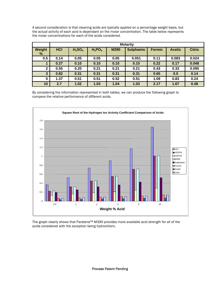A second consideration is that cleaning acids are typically applied on a percentage weight basis, but the actual activity of each acid is dependant on the molar concentration. The table below represents the molar concentrations for each of the acids considered.

|                | <b>Molarity</b> |                                |           |      |                  |               |               |               |
|----------------|-----------------|--------------------------------|-----------|------|------------------|---------------|---------------|---------------|
| Weight<br>$\%$ | <b>HCI</b>      | H <sub>2</sub> SO <sub>4</sub> | $H_2PO_4$ | M390 | <b>Sulphamic</b> | <b>Formic</b> | <b>Acetic</b> | <b>Citric</b> |
| 0.5            | 0.14            | 0.05                           | 0.05      | 0.05 | 0.051            | 0.11          | 0.083         | 0.024         |
|                | 0.27            | 0.10                           | 0.10      | 0.10 | 0.10             | 0.22          | 0.17          | 0.048         |
| $\overline{2}$ | 0.55            | 0.20                           | 0.21      | 0.21 | 0.21             | 0.43          | 0.33          | 0.095         |
| $\mathbf{3}$   | 0.82            | 0.31                           | 0.31      | 0.31 | 0.31             | 0.65          | 0.5           | 0.14          |
| 5              | 1.37            | 0.51                           | 0.51      | 0.52 | 0.51             | 1.09          | 0.83          | 0.24          |
| 10             | 2.7             | 1.02                           | 1.03      | 1.04 | 1.03             | 2.17          | 1.67          | 0.48          |

By considering the information represented in both tables, we can produce the following graph to compare the relative performance of different acids.



The graph clearly shows that Paratene™ M390 provides more available acid strength for all of the acids considered with the exception being hydrochloric.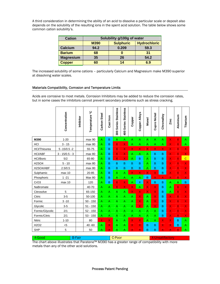A third consideration in determining the ability of an acid to dissolve a particular scale or deposit also depends on the solubility of the resulting ions in the spent acid solution. The table below shows some common cation solubility's.

| <b>Cation</b>    | Solubility g/100g of water |                  |                     |  |  |  |
|------------------|----------------------------|------------------|---------------------|--|--|--|
|                  | <b>M390</b>                | <b>Sulphuric</b> | <b>Hydrochloric</b> |  |  |  |
| Calcium          | 94.2                       | 0.209            | 59.3                |  |  |  |
| <b>Barium</b>    | 68                         |                  | 31                  |  |  |  |
| <b>Magnesium</b> | 35                         | 26               | 54.2                |  |  |  |
| <b>Copper</b>    | 60                         | 14               | 6.9                 |  |  |  |

The increased solubility of some cations – particularly Calcium and Magnesium make M390 superior at dissolving water scales.

## Materials Compatibility, Corrosion and Temperature Limits

Acids are corrosive to most metals. Corrosion Inhibitors may be added to reduce the corrosion rates, but in some cases the inhibitors cannot prevent secondary problems such as stress cracking.

|                               | Concentration    | Inhibitor | ပ္<br>Temperature | Carbon Steel            | Cast Iron               | <b>Stainless</b><br>300 Series | Series Stainless<br>$rac{1}{2}$ | Copper                  | <b>Copper Alloys</b>    | Monel                   | Cupro Nickel            | Chromalloy              | Zinc                      | Aluminum                 | Titanium                |
|-------------------------------|------------------|-----------|-------------------|-------------------------|-------------------------|--------------------------------|---------------------------------|-------------------------|-------------------------|-------------------------|-------------------------|-------------------------|---------------------------|--------------------------|-------------------------|
| M390                          | $1 - 20$         |           | max 90            | A                       | B                       | A                              | A                               | $\mathsf{A}$            | A                       | $\overline{A}$          | A                       | A                       | $\boldsymbol{\mathsf{X}}$ | $\mathsf{x}$             | A                       |
| HCI                           | $3 - 15$         |           | max 80            | Α                       | B                       | X                              | X                               | A                       | Α                       | A                       | A                       | A                       | X                         | $\mathsf{x}$             | A                       |
| HCl/Thiourea                  | $5 - 15/0.5 - 2$ |           | 55-75             | A                       | B                       | $\overline{\mathsf{x}}$        | $\overline{\mathsf{x}}$         | $\overline{\mathsf{x}}$ | $\overline{\mathsf{x}}$ | $\overline{\mathsf{x}}$ | $\overline{\mathsf{x}}$ | $\overline{\mathsf{x}}$ | $\overline{\mathsf{x}}$   | $\mathbf{X}$             | X                       |
| <b>HCI/ABF</b>                | $3 - 15/0.5 - 3$ |           | max 80            | A                       | B                       | X                              | X                               | A                       | A                       | A                       | B                       | B                       | X                         | $\mathsf{x}$             | X                       |
| <b>HCl/Boric</b>              | 5/2              |           | 65-80             | A                       | B                       | X                              | X.                              | A                       | B                       | Α                       | B                       | B                       | X                         | $\mathsf{x}$             | $\overline{C}$          |
| <b>H2SO4</b>                  | $5 - 10$         |           | max 80            | Α                       | B                       | B                              | B                               | B                       | В                       | A                       | B                       | B                       | $\mathsf{X}$              | $\mathsf{x}$             | X                       |
| H2SO4/ABF                     | 2.5/0.5          |           | max 80            | A                       | B                       | B                              | B                               | B                       | B                       | A                       | B                       | B                       | X                         | $\mathsf{x}$             | X                       |
| Sulphamic                     | max 10           |           | 20-85             | A                       | B                       | A                              | A                               | $\mathsf{X}$            | X                       | X                       | X                       | B                       | X                         | $\mathsf{x}$             | X                       |
| Phosphoric                    | $1 - 21$         |           | <b>Max 80</b>     | A                       | B                       | A                              | A                               | A                       | A                       | B                       | $\overline{\mathsf{x}}$ | X                       | $\overline{\mathsf{x}}$   | $\overline{\mathsf{x}}$  | X.                      |
| CrO <sub>3</sub>              | max 10           |           | 120               | A                       | B                       | $\overline{\mathsf{x}}$        | $\overline{\mathsf{X}}$         | $\mathsf{A}$            | х                       | X                       | $\overline{B}$          | B                       | A                         | $\mathsf{A}$             | B                       |
| NaBromate                     |                  |           | 40-70             | A                       | A                       | X                              | $\overline{\mathsf{X}}$         | $\mathsf{X}$            | А                       | X                       | X                       | B                       | Α                         | $\mathsf{x}$             | X                       |
| Citrosolve                    | 5                |           | 65-150            | A                       | A                       | A                              | A                               | $\mathsf{X}$            | X                       | X                       | $\mathsf{X}$            | B                       | A                         | $\mathsf{x}$             | $\overline{\mathsf{X}}$ |
| Citric                        | $3-5$            |           | 50-100            | A                       | A.                      | A                              | A                               | A                       | X                       | $\overline{A}$          | $\mathsf{X}$            | B                       | X                         | $\mathsf{x}$             | X                       |
| Formic                        | $3 - 10$         |           | $50 - 150$        | A                       | A                       | A                              | A                               | A                       | X                       | A                       | X                       | B                       | X                         | $\mathsf{x}$             | $\mathsf{X}$            |
| Glycolic                      | $3-5$            |           | $51 - 150$        | A                       | A                       | $\overline{\mathsf{A}}$        | $\overline{\mathsf{A}}$         | $\overline{A}$          | X                       | Α                       | $\overline{\mathsf{X}}$ | B                       | $\overline{\mathsf{x}}$   | $\overline{\mathsf{x}}$  | X                       |
| Formic/Glycolic               | 2/1              |           | $52 - 150$        | A                       | A                       | A                              | A                               | A                       | A                       | Α                       | A                       | B                       | $\mathsf{X}$              | $\mathsf{x}$             | X                       |
| Formic/Citric                 | 2/1              |           | $53 - 150$        | A                       | A                       | A                              | A                               | $\mathsf{A}$            | A                       | Α                       | A                       | B                       | X                         | $\mathsf{X}^{\parallel}$ | $\mathsf{X}^+$          |
| Nitric                        | $1 - 10$         |           | 80                | $\overline{\mathsf{X}}$ | $\overline{\mathsf{X}}$ | $\overline{\mathsf{A}}$        | A                               | $\mathsf{x}$            | $\overline{\mathsf{x}}$ | A                       | A                       | X                       | X                         | B                        | A                       |
| H <sub>2</sub> O <sub>2</sub> | $5$              |           | $40 - 60$         | A                       | $\overline{\mathsf{X}}$ | A                              | A                               | $\mathsf{X}$            | X                       | B                       | B                       | X                       | X                         | B                        | A                       |
| <b>SHP</b>                    | 5                |           | 50                | A                       | X                       | A                              | A                               | $\times$ 1              | X                       | B                       | B                       | X                       | X                         | $\mathsf{X}^+$           | A                       |
|                               |                  |           |                   |                         |                         |                                |                                 |                         |                         |                         |                         |                         |                           |                          |                         |

A-Good B-Fair C-Poor X-Unsatifactory The chart above illustrates that Paratene™ M390 has a greater range of compatibility with more metals than any of the other acid solutions.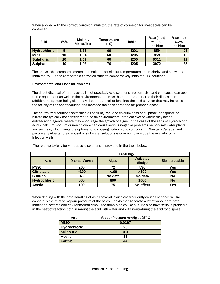When applied with the correct corrosion inhibitor, the rate of corrosion for most acids can be controlled.

| Acid                | Wt% | <b>Molarity</b><br>Moles/liter | Temperature<br>(°C) | <b>Inhibitor</b> | Rate (mpy)<br>without<br>inhibitor | Rate mpy<br>0.2%<br>Inhibitor |
|---------------------|-----|--------------------------------|---------------------|------------------|------------------------------------|-------------------------------|
| <b>Hydrochloric</b> | 5   | 1.36                           | 60                  | <b>1201</b>      | 859                                | 25                            |
| M390                | 10  | 1.04                           | 60                  | <b>I205</b>      | 859                                | 16                            |
| <b>Sulphuric</b>    | 10  | 1.02                           | 60                  | <b>1205</b>      | 6311                               | 12                            |
| <b>Sulphamic</b>    | 10  | 1.03                           | 70                  | <b>I205</b>      | 3972                               | 35                            |

The above table compares corrosion results under similar temperatures and molarity, and shows that Inhibited M390 has comparable corrosion rates to comparatively inhibited HCl solutions.

### Environmental and Disposal Problems

The direct disposal of strong acids is not practical. Acid solutions are corrosive and can cause damage to the equipment as well as the environment, and must be neutralized prior to their disposal. In addition the system being cleaned will contribute other ions into the acid solution that may increase the toxicity of the spent solution and increase the considerations for proper disposal.

The neutralized solutions salts such as sodium, iron, and calcium salts of sulphate, phosphate or nitrate are typically not considered to be an environmental problem except where they act as eutrifecation agents, where they encourage the growth of algae. In the case of the salts of hydrochloric acid – calcium, sodium or iron chloride can cause serious negative problems on non-salt water plants and animals, which limits the options for disposing hydrochloric solutions. In Western Canada, and particularly Alberta, the disposal of salt water solutions is common place due the availability of injection wells.

|                     | EC50 mg/L    |         |                            |                      |  |  |
|---------------------|--------------|---------|----------------------------|----------------------|--|--|
| <b>Acid</b>         | Dapnia Magna | Algae   | <b>Activated</b><br>Sludge | <b>Biodegradable</b> |  |  |
| M390                | 260          | 72      | 530                        | <b>Yes</b>           |  |  |
| <b>Citric acid</b>  | >100         | >100    | >100                       | <b>Yes</b>           |  |  |
| <b>Sulfuric</b>     | 43           | No data | No data                    | <b>No</b>            |  |  |
| <b>Hydrochloric</b> | 560          | 800     | 1000                       | <b>No</b>            |  |  |
| <b>Acetic</b>       | 100          | 75      | No effect                  | <b>Yes</b>           |  |  |

The relative toxicity for various acid solutions is provided in the table below.

When dealing with the safe handling of acids several issues are frequently causes of concern. One concern is the relative vapour pressure of the acids – acids that generate a lot of vapour are both inhalation hazards and environmental risks. Additionally acids like sulfuric also have serious problems in the heat of reaction both in mixing the acid with water and with neutralizing the acid for disposal.

| Acid             | Vapour Pressure mmHg at 25 °C |
|------------------|-------------------------------|
| M390             | 0.0267                        |
| Hydrochloric     | 25                            |
| <b>Sulphuric</b> | 0.3                           |
| <b>Acetic</b>    | 11                            |
| <b>Formic</b>    | 44                            |